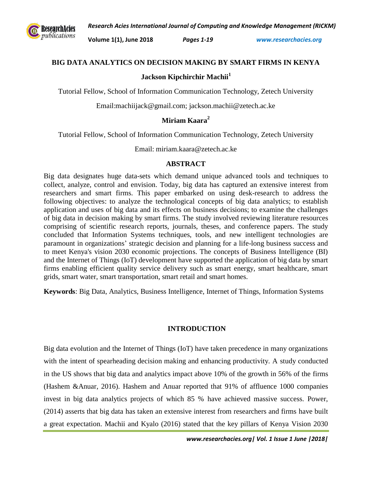*Research Acies International Journal of Computing and Knowledge Management (RICKM)*



**Volume 1(1), June 2018** *Pages 1-19 www.researchacies.org*

### **BIG DATA ANALYTICS ON DECISION MAKING BY SMART FIRMS IN KENYA**

## **Jackson Kipchirchir Machii<sup>1</sup>**

Tutorial Fellow, School of Information Communication Technology, Zetech University

Email:machiijack@gmail.com; jackson.machii@zetech.ac.ke

# **Miriam Kaara<sup>2</sup>**

Tutorial Fellow, School of Information Communication Technology, Zetech University

Email: miriam.kaara@zetech.ac.ke

### **ABSTRACT**

Big data designates huge data-sets which demand unique advanced tools and techniques to collect, analyze, control and envision. Today, big data has captured an extensive interest from researchers and smart firms. This paper embarked on using desk-research to address the following objectives: to analyze the technological concepts of big data analytics; to establish application and uses of big data and its effects on business decisions; to examine the challenges of big data in decision making by smart firms. The study involved reviewing literature resources comprising of scientific research reports, journals, theses, and conference papers. The study concluded that Information Systems techniques, tools, and new intelligent technologies are paramount in organizations' strategic decision and planning for a life-long business success and to meet Kenya's vision 2030 economic projections. The concepts of Business Intelligence (BI) and the Internet of Things (IoT) development have supported the application of big data by smart firms enabling efficient quality service delivery such as smart energy, smart healthcare, smart grids, smart water, smart transportation, smart retail and smart homes.

**Keywords**: Big Data, Analytics, Business Intelligence, Internet of Things, Information Systems

## **INTRODUCTION**

Big data evolution and the Internet of Things (IoT) have taken precedence in many organizations with the intent of spearheading decision making and enhancing productivity. A study conducted in the US shows that big data and analytics impact above 10% of the growth in 56% of the firms (Hashem &Anuar, 2016). Hashem and Anuar reported that 91% of affluence 1000 companies invest in big data analytics projects of which 85 % have achieved massive success. Power, (2014) asserts that big data has taken an extensive interest from researchers and firms have built a great expectation. Machii and Kyalo (2016) stated that the key pillars of Kenya Vision 2030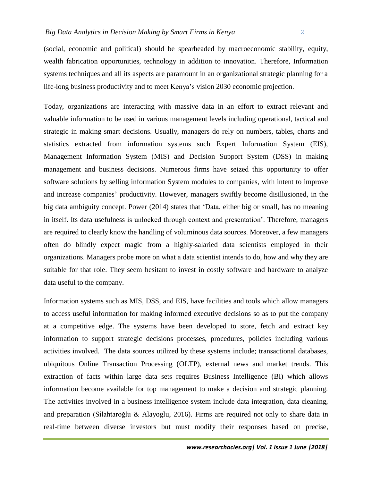(social, economic and political) should be spearheaded by macroeconomic stability, equity, wealth fabrication opportunities, technology in addition to innovation. Therefore, Information systems techniques and all its aspects are paramount in an organizational strategic planning for a life-long business productivity and to meet Kenya's vision 2030 economic projection.

Today, organizations are interacting with massive data in an effort to extract relevant and valuable information to be used in various management levels including operational, tactical and strategic in making smart decisions. Usually, managers do rely on numbers, tables, charts and statistics extracted from information systems such Expert Information System (EIS), Management Information System (MIS) and Decision Support System (DSS) in making management and business decisions. Numerous firms have seized this opportunity to offer software solutions by selling information System modules to companies, with intent to improve and increase companies' productivity. However, managers swiftly become disillusioned, in the big data ambiguity concept. Power (2014) states that 'Data, either big or small, has no meaning in itself. Its data usefulness is unlocked through context and presentation'. Therefore, managers are required to clearly know the handling of voluminous data sources. Moreover, a few managers often do blindly expect magic from a highly-salaried data scientists employed in their organizations. Managers probe more on what a data scientist intends to do, how and why they are suitable for that role. They seem hesitant to invest in costly software and hardware to analyze data useful to the company.

Information systems such as MIS, DSS, and EIS, have facilities and tools which allow managers to access useful information for making informed executive decisions so as to put the company at a competitive edge. The systems have been developed to store, fetch and extract key information to support strategic decisions processes, procedures, policies including various activities involved. The data sources utilized by these systems include; transactional databases, ubiquitous Online Transaction Processing (OLTP), external news and market trends. This extraction of facts within large data sets requires Business Intelligence (BI) which allows information become available for top management to make a decision and strategic planning. The activities involved in a business intelligence system include data integration, data cleaning, and preparation (Silahtaroğlu & Alayoglu, 2016). Firms are required not only to share data in real-time between diverse investors but must modify their responses based on precise,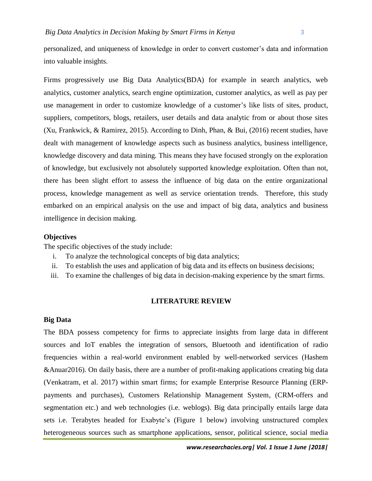personalized, and uniqueness of knowledge in order to convert customer's data and information into valuable insights.

Firms progressively use Big Data Analytics(BDA) for example in search analytics, web analytics, customer analytics, search engine optimization, customer analytics, as well as pay per use management in order to customize knowledge of a customer's like lists of sites, product, suppliers, competitors, blogs, retailers, user details and data analytic from or about those sites (Xu, Frankwick, & Ramirez, 2015). According to Dinh, Phan, & Bui, (2016) recent studies, have dealt with management of knowledge aspects such as business analytics, business intelligence, knowledge discovery and data mining. This means they have focused strongly on the exploration of knowledge, but exclusively not absolutely supported knowledge exploitation. Often than not, there has been slight effort to assess the influence of big data on the entire organizational process, knowledge management as well as service orientation trends. Therefore, this study embarked on an empirical analysis on the use and impact of big data, analytics and business intelligence in decision making.

#### **Objectives**

The specific objectives of the study include:

- i. To analyze the technological concepts of big data analytics;
- ii. To establish the uses and application of big data and its effects on business decisions;
- iii. To examine the challenges of big data in decision-making experience by the smart firms.

#### **LITERATURE REVIEW**

#### **Big Data**

The BDA possess competency for firms to appreciate insights from large data in different sources and IoT enables the integration of sensors, Bluetooth and identification of radio frequencies within a real-world environment enabled by well-networked services (Hashem &Anuar2016). On daily basis, there are a number of profit-making applications creating big data (Venkatram, et al. 2017) within smart firms; for example Enterprise Resource Planning (ERPpayments and purchases), Customers Relationship Management System, (CRM-offers and segmentation etc.) and web technologies (i.e. weblogs). Big data principally entails large data sets i.e. Terabytes headed for Exabyte's (Figure 1 below) involving unstructured complex heterogeneous sources such as smartphone applications, sensor, political science, social media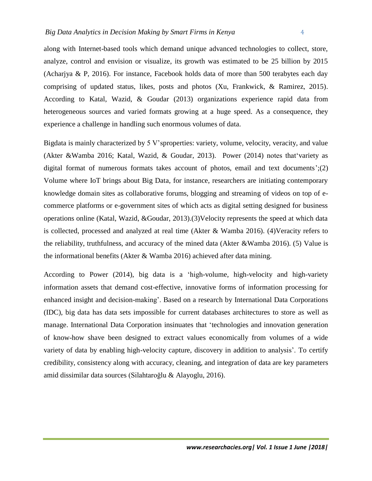along with Internet-based tools which demand unique advanced technologies to collect, store, analyze, control and envision or visualize, its growth was estimated to be 25 billion by 2015 (Acharjya & P, 2016). For instance, Facebook holds data of more than 500 terabytes each day comprising of updated status, likes, posts and photos (Xu, Frankwick, & Ramirez, 2015). According to Katal, Wazid, & Goudar (2013) organizations experience rapid data from heterogeneous sources and varied formats growing at a huge speed. As a consequence, they experience a challenge in handling such enormous volumes of data.

Bigdata is mainly characterized by 5 V'sproperties: variety, volume, velocity, veracity, and value (Akter &Wamba 2016; Katal, Wazid, & Goudar, 2013). Power (2014) notes that'variety as digital format of numerous formats takes account of photos, email and text documents';(2) Volume where IoT brings about Big Data, for instance, researchers are initiating contemporary knowledge domain sites as collaborative forums, blogging and streaming of videos on top of ecommerce platforms or e-government sites of which acts as digital setting designed for business operations online (Katal, Wazid, &Goudar, 2013).(3)Velocity represents the speed at which data is collected, processed and analyzed at real time (Akter & Wamba 2016). (4)Veracity refers to the reliability, truthfulness, and accuracy of the mined data (Akter &Wamba 2016). (5) Value is the informational benefits (Akter & Wamba 2016) achieved after data mining.

According to Power (2014), big data is a 'high-volume, high-velocity and high-variety information assets that demand cost-effective, innovative forms of information processing for enhanced insight and decision-making'. Based on a research by International Data Corporations (IDC), big data has data sets impossible for current databases architectures to store as well as manage. International Data Corporation insinuates that 'technologies and innovation generation of know-how shave been designed to extract values economically from volumes of a wide variety of data by enabling high-velocity capture, discovery in addition to analysis'. To certify credibility, consistency along with accuracy, cleaning, and integration of data are key parameters amid dissimilar data sources (Silahtaroğlu & Alayoglu, 2016).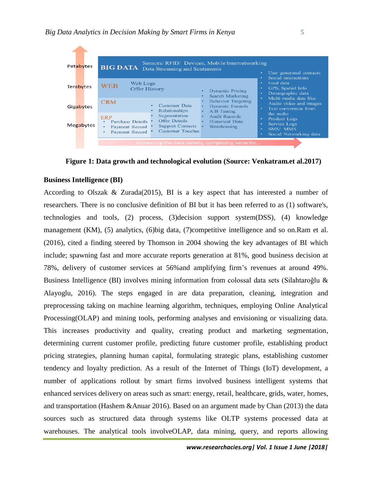

**Figure 1: Data growth and technological evolution (Source: Venkatram.et al.2017)**

#### **Business Intelligence (BI)**

According to Olszak  $& Zurada(2015)$ , BI is a key aspect that has interested a number of researchers. There is no conclusive definition of BI but it has been referred to as (1) software's, technologies and tools, (2) process, (3)decision support system(DSS), (4) knowledge management (KM), (5) analytics, (6)big data, (7)competitive intelligence and so on.Ram et al. (2016), cited a finding steered by Thomson in 2004 showing the key advantages of BI which include; spawning fast and more accurate reports generation at 81%, good business decision at 78%, delivery of customer services at 56%and amplifying firm's revenues at around 49%. Business Intelligence (BI) involves mining information from colossal data sets (Silahtaroğlu & Alayoglu, 2016). The steps engaged in are data preparation, cleaning, integration and preprocessing taking on machine learning algorithm, techniques, employing Online Analytical Processing(OLAP) and mining tools, performing analyses and envisioning or visualizing data. This increases productivity and quality, creating product and marketing segmentation, determining current customer profile, predicting future customer profile, establishing product pricing strategies, planning human capital, formulating strategic plans, establishing customer tendency and loyalty prediction. As a result of the Internet of Things (IoT) development, a number of applications rollout by smart firms involved business intelligent systems that enhanced services delivery on areas such as smart: energy, retail, healthcare, grids, water, homes, and transportation (Hashem &Anuar 2016). Based on an argument made by Chan (2013) the data sources such as structured data through systems like OLTP systems processed data at warehouses. The analytical tools involveOLAP, data mining, query, and reports allowing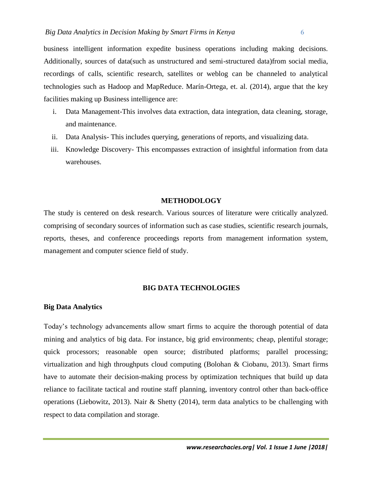business intelligent information expedite business operations including making decisions. Additionally, sources of data(such as unstructured and semi-structured data)from social media, recordings of calls, scientific research, satellites or weblog can be channeled to analytical technologies such as Hadoop and MapReduce. Marín-Ortega, et. al. (2014), argue that the key facilities making up Business intelligence are:

- i. Data Management-This involves data extraction, data integration, data cleaning, storage, and maintenance.
- ii. Data Analysis- This includes querying, generations of reports, and visualizing data.
- iii. Knowledge Discovery- This encompasses extraction of insightful information from data warehouses.

#### **METHODOLOGY**

The study is centered on desk research. Various sources of literature were critically analyzed. comprising of secondary sources of information such as case studies, scientific research journals, reports, theses, and conference proceedings reports from management information system, management and computer science field of study.

#### **BIG DATA TECHNOLOGIES**

#### **Big Data Analytics**

Today's technology advancements allow smart firms to acquire the thorough potential of data mining and analytics of big data. For instance, big grid environments; cheap, plentiful storage; quick processors; reasonable open source; distributed platforms; parallel processing; virtualization and high throughputs cloud computing (Bolohan & Ciobanu, 2013). Smart firms have to automate their decision-making process by optimization techniques that build up data reliance to facilitate tactical and routine staff planning, inventory control other than back-office operations (Liebowitz, 2013). Nair & Shetty (2014), term data analytics to be challenging with respect to data compilation and storage.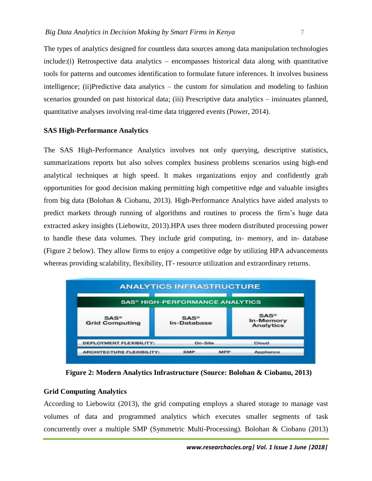The types of analytics designed for countless data sources among data manipulation technologies include:(i) Retrospective data analytics – encompasses historical data along with quantitative tools for patterns and outcomes identification to formulate future inferences. It involves business intelligence; (ii)Predictive data analytics – the custom for simulation and modeling to fashion scenarios grounded on past historical data; (iii) Prescriptive data analytics – insinuates planned, quantitative analyses involving real-time data triggered events (Power, 2014).

# **SAS High-Performance Analytics**

The SAS High-Performance Analytics involves not only querying, descriptive statistics, summarizations reports but also solves complex business problems scenarios using high-end analytical techniques at high speed. It makes organizations enjoy and confidently grab opportunities for good decision making permitting high competitive edge and valuable insights from big data (Bolohan & Ciobanu, 2013). High-Performance Analytics have aided analysts to predict markets through running of algorithms and routines to process the firm's huge data extracted askey insights (Liebowitz, 2013).HPA uses three modern distributed processing power to handle these data volumes. They include grid computing, in- memory, and in- database (Figure 2 below). They allow firms to enjoy a competitive edge by utilizing HPA advancements whereas providing scalability, flexibility, IT- resource utilization and extraordinary returns.

|                                  | <b>SAS® HIGH-PERFORMANCE ANALYTICS</b> |                                          |
|----------------------------------|----------------------------------------|------------------------------------------|
| $SAS^*$<br><b>Grid Computing</b> | $SAS$ <sup>®</sup><br>In-Database      | $SAS^*$<br>In-Memory<br><b>Analytics</b> |
| <b>DEPLOYMENT FLEXIBILITY:</b>   | On-Site                                | Cloud                                    |
| <b>ARCHITECTURE FLEXIBILITY:</b> | <b>SMP</b><br><b>MPP</b>               | Appliance                                |

**Figure 2: Modern Analytics Infrastructure (Source: Bolohan & Ciobanu, 2013)**

## **Grid Computing Analytics**

According to Liebowitz (2013), the grid computing employs a shared storage to manage vast volumes of data and programmed analytics which executes smaller segments of task concurrently over a multiple SMP (Symmetric Multi-Processing). Bolohan & Ciobanu (2013)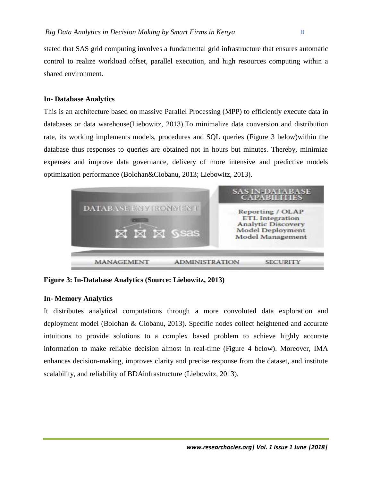stated that SAS grid computing involves a fundamental grid infrastructure that ensures automatic control to realize workload offset, parallel execution, and high resources computing within a shared environment.

### **In- Database Analytics**

This is an architecture based on massive Parallel Processing (MPP) to efficiently execute data in databases or data warehouse(Liebowitz, 2013).To minimalize data conversion and distribution rate, its working implements models, procedures and SQL queries (Figure 3 below)within the database thus responses to queries are obtained not in hours but minutes. Thereby, minimize expenses and improve data governance, delivery of more intensive and predictive models optimization performance (Bolohan&Ciobanu, 2013; Liebowitz, 2013).



**Figure 3: In-Database Analytics (Source: Liebowitz, 2013)**

## **In- Memory Analytics**

It distributes analytical computations through a more convoluted data exploration and deployment model (Bolohan & Ciobanu, 2013). Specific nodes collect heightened and accurate intuitions to provide solutions to a complex based problem to achieve highly accurate information to make reliable decision almost in real-time (Figure 4 below). Moreover, IMA enhances decision-making, improves clarity and precise response from the dataset, and institute scalability, and reliability of BDAinfrastructure (Liebowitz, 2013).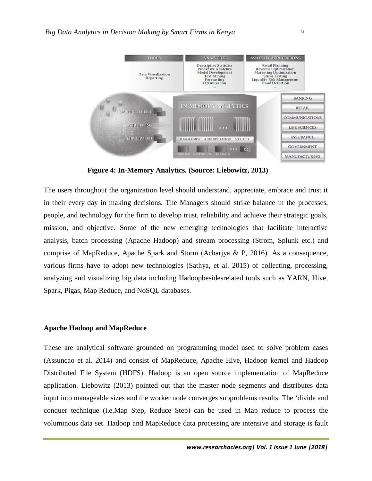

**Figure 4: In-Memory Analytics. (Source: Liebowitz, 2013)**

The users throughout the organization level should understand, appreciate, embrace and trust it in their every day in making decisions. The Managers should strike balance in the processes, people, and technology for the firm to develop trust, reliability and achieve their strategic goals, mission, and objective. Some of the new emerging technologies that facilitate interactive analysis, batch processing (Apache Hadoop) and stream processing (Strom, Splunk etc.) and comprise of MapReduce, Apache Spark and Storm (Acharjya & P, 2016). As a consequence, various firms have to adopt new technologies (Sathya, et al. 2015) of collecting, processing, analyzing and visualizing big data including Hadoopbesidesrelated tools such as YARN, Hive, Spark, Pigas, Map Reduce, and NoSQL databases.

#### **Apache Hadoop and MapReduce**

These are analytical software grounded on programming model used to solve problem cases (Assuncao et al. 2014) and consist of MapReduce, Apache Hive, Hadoop kernel and Hadoop Distributed File System (HDFS). Hadoop is an open source implementation of MapReduce application. Liebowitz (2013) pointed out that the master node segments and distributes data input into manageable sizes and the worker node converges subproblems results. The 'divide and conquer technique (i.e.Map Step, Reduce Step) can be used in Map reduce to process the voluminous data set. Hadoop and MapReduce data processing are intensive and storage is fault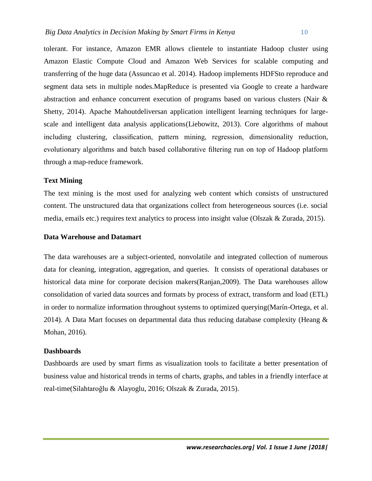tolerant. For instance, Amazon EMR allows clientele to instantiate Hadoop cluster using Amazon Elastic Compute Cloud and Amazon Web Services for scalable computing and transferring of the huge data (Assuncao et al. 2014). Hadoop implements HDFSto reproduce and segment data sets in multiple nodes.MapReduce is presented via Google to create a hardware abstraction and enhance concurrent execution of programs based on various clusters (Nair & Shetty, 2014). Apache Mahoutdeliversan application intelligent learning techniques for largescale and intelligent data analysis applications(Liebowitz, 2013). Core algorithms of mahout including clustering, classification, pattern mining, regression, dimensionality reduction, evolutionary algorithms and batch based collaborative filtering run on top of Hadoop platform through a map-reduce framework.

### **Text Mining**

The text mining is the most used for analyzing web content which consists of unstructured content. The unstructured data that organizations collect from heterogeneous sources (i.e. social media, emails etc.) requires text analytics to process into insight value (Olszak & Zurada, 2015).

## **Data Warehouse and Datamart**

The data warehouses are a subject-oriented, nonvolatile and integrated collection of numerous data for cleaning, integration, aggregation, and queries. It consists of operational databases or historical data mine for corporate decision makers(Ranjan,2009). The Data warehouses allow consolidation of varied data sources and formats by process of extract, transform and load (ETL) in order to normalize information throughout systems to optimized querying(Marín-Ortega, et al. 2014). A Data Mart focuses on departmental data thus reducing database complexity (Heang  $\&$ Mohan, 2016).

#### **Dashboards**

Dashboards are used by smart firms as visualization tools to facilitate a better presentation of business value and historical trends in terms of charts, graphs, and tables in a friendly interface at real-time(Silahtaroğlu & Alayoglu, 2016; Olszak & Zurada, 2015).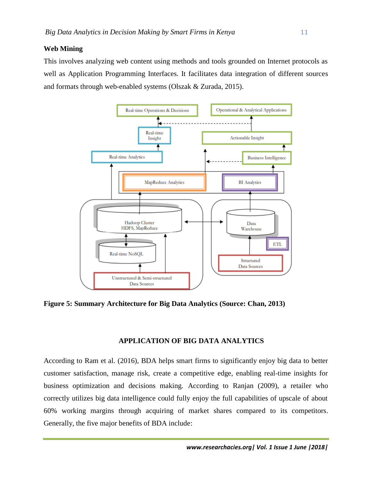# **Web Mining**

This involves analyzing web content using methods and tools grounded on Internet protocols as well as Application Programming Interfaces. It facilitates data integration of different sources and formats through web-enabled systems (Olszak & Zurada, 2015).



**Figure 5: Summary Architecture for Big Data Analytics (Source: Chan, 2013)**

# **APPLICATION OF BIG DATA ANALYTICS**

According to Ram et al. (2016), BDA helps smart firms to significantly enjoy big data to better customer satisfaction, manage risk, create a competitive edge, enabling real-time insights for business optimization and decisions making. According to Ranjan (2009), a retailer who correctly utilizes big data intelligence could fully enjoy the full capabilities of upscale of about 60% working margins through acquiring of market shares compared to its competitors. Generally, the five major benefits of BDA include: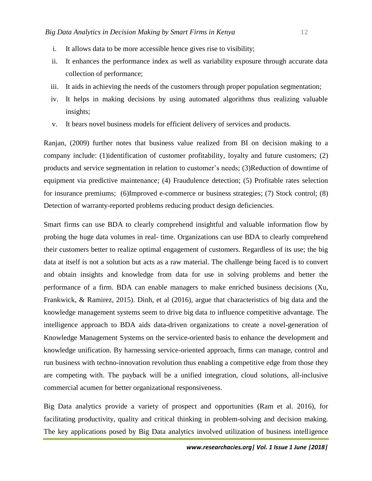- 
- i. It allows data to be more accessible hence gives rise to visibility;
- ii. It enhances the performance index as well as variability exposure through accurate data collection of performance;
- iii. It aids in achieving the needs of the customers through proper population segmentation;
- iv. It helps in making decisions by using automated algorithms thus realizing valuable insights;
- v. It bears novel business models for efficient delivery of services and products.

Ranjan, (2009) further notes that business value realized from BI on decision making to a company include: (1)identification of customer profitability, loyalty and future customers; (2) products and service segmentation in relation to customer's needs; (3)Reduction of downtime of equipment via predictive maintenance; (4) Fraudulence detection; (5) Profitable rates selection for insurance premiums; (6)Improved e-commerce or business strategies; (7) Stock control; (8) Detection of warranty-reported problems reducing product design deficiencies.

Smart firms can use BDA to clearly comprehend insightful and valuable information flow by probing the huge data volumes in real- time. Organizations can use BDA to clearly comprehend their customers better to realize optimal engagement of customers. Regardless of its use; the big data at itself is not a solution but acts as a raw material. The challenge being faced is to convert and obtain insights and knowledge from data for use in solving problems and better the performance of a firm. BDA can enable managers to make enriched business decisions (Xu, Frankwick, & Ramirez, 2015). Dinh, et al (2016), argue that characteristics of big data and the knowledge management systems seem to drive big data to influence competitive advantage. The intelligence approach to BDA aids data-driven organizations to create a novel-generation of Knowledge Management Systems on the service-oriented basis to enhance the development and knowledge unification. By harnessing service-oriented approach, firms can manage, control and run business with techno-innovation revolution thus enabling a competitive edge from those they are competing with. The payback will be a unified integration, cloud solutions, all-inclusive commercial acumen for better organizational responsiveness.

Big Data analytics provide a variety of prospect and opportunities (Ram et al. 2016), for facilitating productivity, quality and critical thinking in problem-solving and decision making. The key applications posed by Big Data analytics involved utilization of business intelligence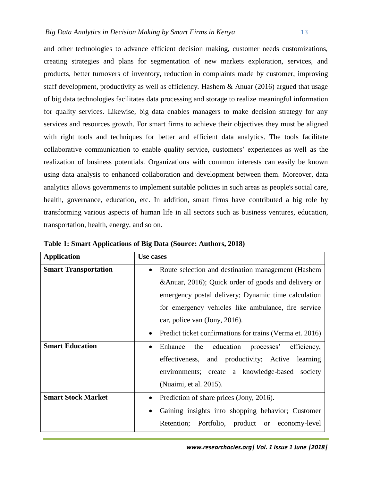and other technologies to advance efficient decision making, customer needs customizations, creating strategies and plans for segmentation of new markets exploration, services, and products, better turnovers of inventory, reduction in complaints made by customer, improving staff development, productivity as well as efficiency. Hashem & Anuar (2016) argued that usage of big data technologies facilitates data processing and storage to realize meaningful information for quality services. Likewise, big data enables managers to make decision strategy for any services and resources growth. For smart firms to achieve their objectives they must be aligned with right tools and techniques for better and efficient data analytics. The tools facilitate collaborative communication to enable quality service, customers' experiences as well as the realization of business potentials. Organizations with common interests can easily be known using data analysis to enhanced collaboration and development between them. Moreover, data analytics allows governments to implement suitable policies in such areas as people's social care, health, governance, education, etc. In addition, smart firms have contributed a big role by transforming various aspects of human life in all sectors such as business ventures, education, transportation, health, energy, and so on.

| <b>Application</b>          | Use cases                                                             |
|-----------------------------|-----------------------------------------------------------------------|
| <b>Smart Transportation</b> | Route selection and destination management (Hashem                    |
|                             | & Anuar, 2016); Quick order of goods and delivery or                  |
|                             | emergency postal delivery; Dynamic time calculation                   |
|                             | for emergency vehicles like ambulance, fire service                   |
|                             | car, police van (Jony, 2016).                                         |
|                             | Predict ticket confirmations for trains (Verma et. 2016)<br>$\bullet$ |
| <b>Smart Education</b>      | the education processes'<br>Enhance<br>efficiency,                    |
|                             | effectiveness, and productivity; Active<br>learning                   |
|                             | environments; create a knowledge-based society                        |
|                             | (Nuaimi, et al. 2015).                                                |
| <b>Smart Stock Market</b>   | Prediction of share prices (Jony, 2016).<br>$\bullet$                 |
|                             | Gaining insights into shopping behavior; Customer<br>$\bullet$        |
|                             | Retention; Portfolio, product or economy-level                        |

**Table 1: Smart Applications of Big Data (Source: Authors, 2018)**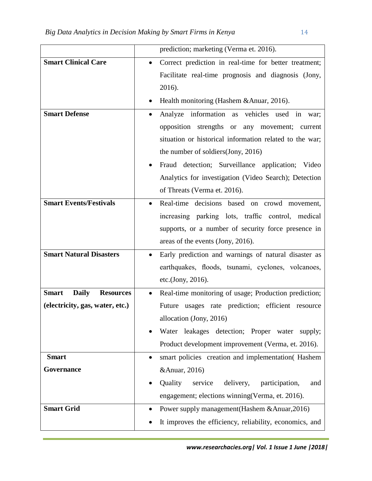|                                                  | prediction; marketing (Verma et. 2016).                           |
|--------------------------------------------------|-------------------------------------------------------------------|
| <b>Smart Clinical Care</b>                       | Correct prediction in real-time for better treatment;             |
|                                                  | Facilitate real-time prognosis and diagnosis (Jony,               |
|                                                  | 2016).                                                            |
|                                                  | Health monitoring (Hashem & Anuar, 2016).                         |
| <b>Smart Defense</b>                             | Analyze information as vehicles used in<br>war;                   |
|                                                  | opposition strengths or<br>any movement; current                  |
|                                                  | situation or historical information related to the war;           |
|                                                  | the number of soldiers(Jony, 2016)                                |
|                                                  | Fraud detection; Surveillance application; Video                  |
|                                                  | Analytics for investigation (Video Search); Detection             |
|                                                  | of Threats (Verma et. 2016).                                      |
| <b>Smart Events/Festivals</b>                    | Real-time decisions based on crowd movement,<br>$\bullet$         |
|                                                  | increasing parking lots, traffic control, medical                 |
|                                                  | supports, or a number of security force presence in               |
|                                                  | areas of the events (Jony, 2016).                                 |
| <b>Smart Natural Disasters</b>                   | Early prediction and warnings of natural disaster as<br>$\bullet$ |
|                                                  | earthquakes, floods, tsunami, cyclones, volcanoes,                |
|                                                  | etc.(Jony, 2016).                                                 |
| <b>Smart</b><br><b>Daily</b><br><b>Resources</b> | Real-time monitoring of usage; Production prediction;<br>٠        |
| (electricity, gas, water, etc.)                  | Future usages rate prediction; efficient resource                 |
|                                                  | allocation (Jony, 2016)                                           |
|                                                  | Water leakages detection; Proper water supply;                    |
|                                                  | Product development improvement (Verma, et. 2016).                |
| <b>Smart</b>                                     | smart policies creation and implementation (Hashem<br>$\bullet$   |
| <b>Governance</b>                                | & Anuar, 2016)                                                    |
|                                                  | Quality<br>service<br>delivery,<br>participation,<br>and          |
|                                                  | engagement; elections winning (Verma, et. 2016).                  |
| <b>Smart Grid</b>                                | Power supply management (Hashem & Anuar, 2016)                    |
|                                                  | It improves the efficiency, reliability, economics, and           |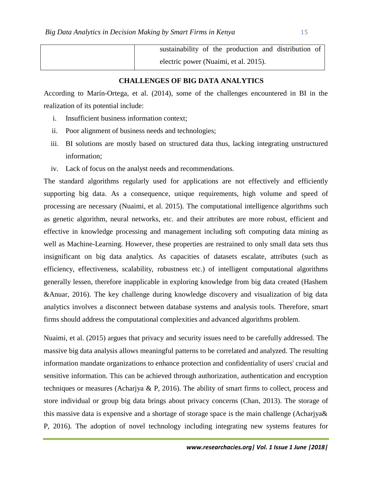sustainability of the production and distribution of electric power (Nuaimi, et al. 2015).

## **CHALLENGES OF BIG DATA ANALYTICS**

According to Marín-Ortega, et al. (2014), some of the challenges encountered in BI in the realization of its potential include:

- i. Insufficient business information context;
- ii. Poor alignment of business needs and technologies;
- iii. BI solutions are mostly based on structured data thus, lacking integrating unstructured information;
- iv. Lack of focus on the analyst needs and recommendations.

The standard algorithms regularly used for applications are not effectively and efficiently supporting big data. As a consequence, unique requirements, high volume and speed of processing are necessary (Nuaimi, et al. 2015). The computational intelligence algorithms such as genetic algorithm, neural networks, etc. and their attributes are more robust, efficient and effective in knowledge processing and management including soft computing data mining as well as Machine-Learning. However, these properties are restrained to only small data sets thus insignificant on big data analytics. As capacities of datasets escalate, attributes (such as efficiency, effectiveness, scalability, robustness etc.) of intelligent computational algorithms generally lessen, therefore inapplicable in exploring knowledge from big data created (Hashem &Anuar, 2016). The key challenge during knowledge discovery and visualization of big data analytics involves a disconnect between database systems and analysis tools. Therefore, smart firms should address the computational complexities and advanced algorithms problem.

Nuaimi, et al. (2015) argues that privacy and security issues need to be carefully addressed. The massive big data analysis allows meaningful patterns to be correlated and analyzed. The resulting information mandate organizations to enhance protection and confidentiality of users' crucial and sensitive information. This can be achieved through authorization, authentication and encryption techniques or measures (Acharjya & P, 2016). The ability of smart firms to collect, process and store individual or group big data brings about privacy concerns (Chan, 2013). The storage of this massive data is expensive and a shortage of storage space is the main challenge (Acharjya& P, 2016). The adoption of novel technology including integrating new systems features for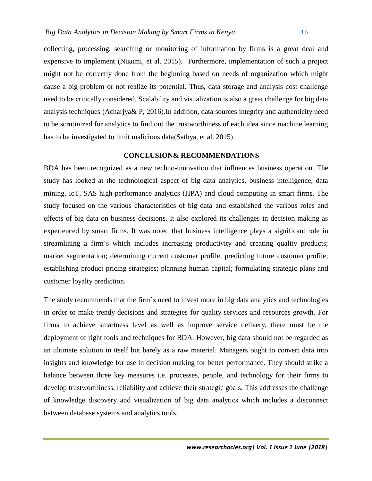collecting, processing, searching or monitoring of information by firms is a great deal and expensive to implement (Nuaimi, et al. 2015). Furthermore, implementation of such a project might not be correctly done from the beginning based on needs of organization which might cause a big problem or not realize its potential. Thus, data storage and analysis cost challenge need to be critically considered. Scalability and visualization is also a great challenge for big data analysis techniques (Acharjya& P, 2016).In addition, data sources integrity and authenticity need to be scrutinized for analytics to find out the trustworthiness of each idea since machine learning has to be investigated to limit malicious data(Sathya, et al. 2015).

#### **CONCLUSION& RECOMMENDATIONS**

BDA has been recognized as a new techno-innovation that influences business operation. The study has looked at the technological aspect of big data analytics, business intelligence, data mining, IoT, SAS high-performance analytics (HPA) and cloud computing in smart firms. The study focused on the various characteristics of big data and established the various roles and effects of big data on business decisions. It also explored its challenges in decision making as experienced by smart firms. It was noted that business intelligence plays a significant role in streamlining a firm's which includes increasing productivity and creating quality products; market segmentation; determining current customer profile; predicting future customer profile; establishing product pricing strategies; planning human capital; formulating strategic plans and customer loyalty prediction.

The study recommends that the firm's need to invest more in big data analytics and technologies in order to make trendy decisions and strategies for quality services and resources growth. For firms to achieve smartness level as well as improve service delivery, there must be the deployment of right tools and techniques for BDA. However, big data should not be regarded as an ultimate solution in itself but barely as a raw material. Managers ought to convert data into insights and knowledge for use in decision making for better performance. They should strike a balance between three key measures i.e. processes, people, and technology for their firms to develop trustworthiness, reliability and achieve their strategic goals. This addresses the challenge of knowledge discovery and visualization of big data analytics which includes a disconnect between database systems and analytics tools.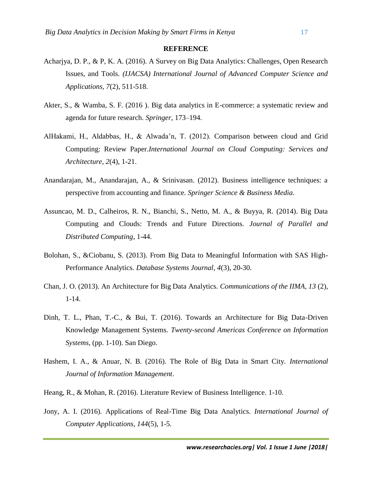#### **REFERENCE**

- Acharjya, D. P., & P, K. A. (2016). A Survey on Big Data Analytics: Challenges, Open Research Issues, and Tools. *(IJACSA) International Journal of Advanced Computer Science and Applications, 7*(2), 511-518.
- Akter, S., & Wamba, S. F. (2016 ). Big data analytics in E-commerce: a systematic review and agenda for future research. *Springer*, 173–194.
- AlHakami, H., Aldabbas, H., & Alwada'n, T. (2012). Comparison between cloud and Grid Computing: Review Paper.*International Journal on Cloud Computing: Services and Architecture, 2*(4), 1-21.
- Anandarajan, M., Anandarajan, A., & Srinivasan. (2012). Business intelligence techniques: a perspective from accounting and finance. *Springer Science & Business Media*.
- Assuncao, M. D., Calheiros, R. N., Bianchi, S., Netto, M. A., & Buyya, R. (2014). Big Data Computing and Clouds: Trends and Future Directions. *Journal of Parallel and Distributed Computing*, 1-44.
- Bolohan, S., &Ciobanu, S. (2013). From Big Data to Meaningful Information with SAS High-Performance Analytics. *Database Systems Journal, 4*(3), 20-30.
- Chan, J. O. (2013). An Architecture for Big Data Analytics. *Communications of the IIMA, 13* (2), 1-14.
- Dinh, T. L., Phan, T.-C., & Bui, T. (2016). Towards an Architecture for Big Data-Driven Knowledge Management Systems. *Twenty-second Americas Conference on Information Systems*, (pp. 1-10). San Diego.
- Hashem, I. A., & Anuar, N. B. (2016). The Role of Big Data in Smart City. *International Journal of Information Management*.
- Heang, R., & Mohan, R. (2016). Literature Review of Business Intelligence. 1-10.
- Jony, A. I. (2016). Applications of Real-Time Big Data Analytics. *International Journal of Computer Applications, 144*(5), 1-5.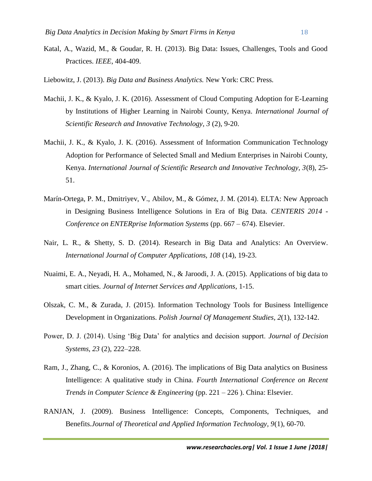- Katal, A., Wazid, M., & Goudar, R. H. (2013). Big Data: Issues, Challenges, Tools and Good Practices. *IEEE*, 404-409.
- Liebowitz, J. (2013). *Big Data and Business Analytics.* New York: CRC Press.
- Machii, J. K., & Kyalo, J. K. (2016). Assessment of Cloud Computing Adoption for E-Learning by Institutions of Higher Learning in Nairobi County, Kenya. *International Journal of Scientific Research and Innovative Technology, 3* (2), 9-20.
- Machii, J. K., & Kyalo, J. K. (2016). Assessment of Information Communication Technology Adoption for Performance of Selected Small and Medium Enterprises in Nairobi County, Kenya. *International Journal of Scientific Research and Innovative Technology, 3*(8), 25- 51.
- Marín-Ortega, P. M., Dmitriyev, V., Abilov, M., & Gómez, J. M. (2014). ELTA: New Approach in Designing Business Intelligence Solutions in Era of Big Data. *CENTERIS 2014 - Conference on ENTERprise Information Systems* (pp. 667 – 674). Elsevier.
- Nair, L. R., & Shetty, S. D. (2014). Research in Big Data and Analytics: An Overview. *International Journal of Computer Applications, 108* (14), 19-23.
- Nuaimi, E. A., Neyadi, H. A., Mohamed, N., & Jaroodi, J. A. (2015). Applications of big data to smart cities. *Journal of Internet Services and Applications*, 1-15.
- Olszak, C. M., & Zurada, J. (2015). Information Technology Tools for Business Intelligence Development in Organizations. *Polish Journal Of Management Studies, 2*(1), 132-142.
- Power, D. J. (2014). Using 'Big Data' for analytics and decision support. *Journal of Decision Systems, 23* (2), 222–228.
- Ram, J., Zhang, C., & Koronios, A. (2016). The implications of Big Data analytics on Business Intelligence: A qualitative study in China. *Fourth International Conference on Recent Trends in Computer Science & Engineering* (pp. 221 – 226 ). China: Elsevier.
- RANJAN, J. (2009). Business Intelligence: Concepts, Components, Techniques, and Benefits.*Journal of Theoretical and Applied Information Technology, 9*(1), 60-70.